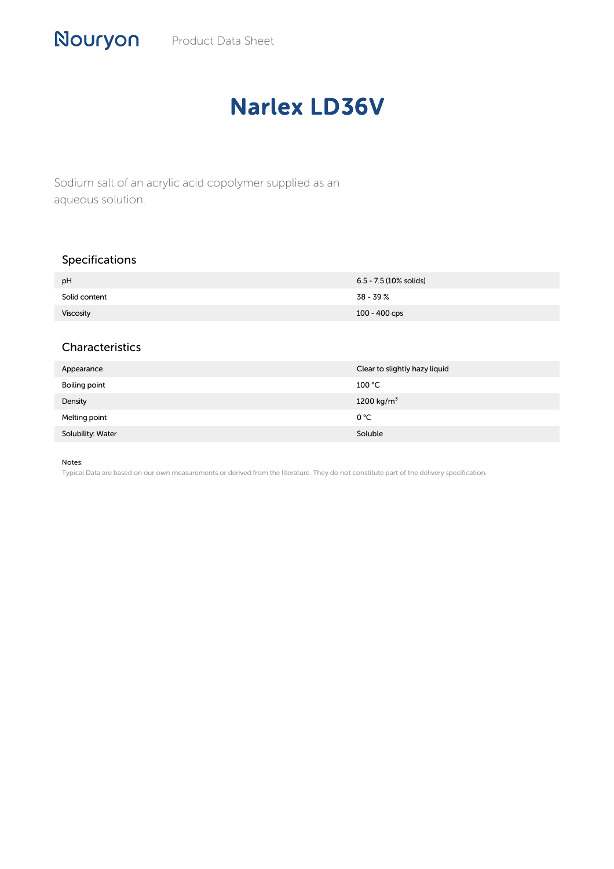# Narlex LD36V

Sodium salt of an acrylic acid copolymer supplied as an aqueous solution.

# Specifications

Nouryon

| pH               | 6.5 - 7.5 (10% solids) |
|------------------|------------------------|
| Solid content    | 38 - 39 %              |
| <b>Viscosity</b> | 100 - 400 cps          |

### Characteristics

| Appearance        | Clear to slightly hazy liquid |
|-------------------|-------------------------------|
| Boiling point     | 100 °C                        |
| Density           | 1200 kg/m <sup>3</sup>        |
| Melting point     | 0 °C                          |
| Solubility: Water | Soluble                       |

#### Notes:

Typical Data are based on our own measurements or derived from the literature. They do not constitute part of the delivery specification.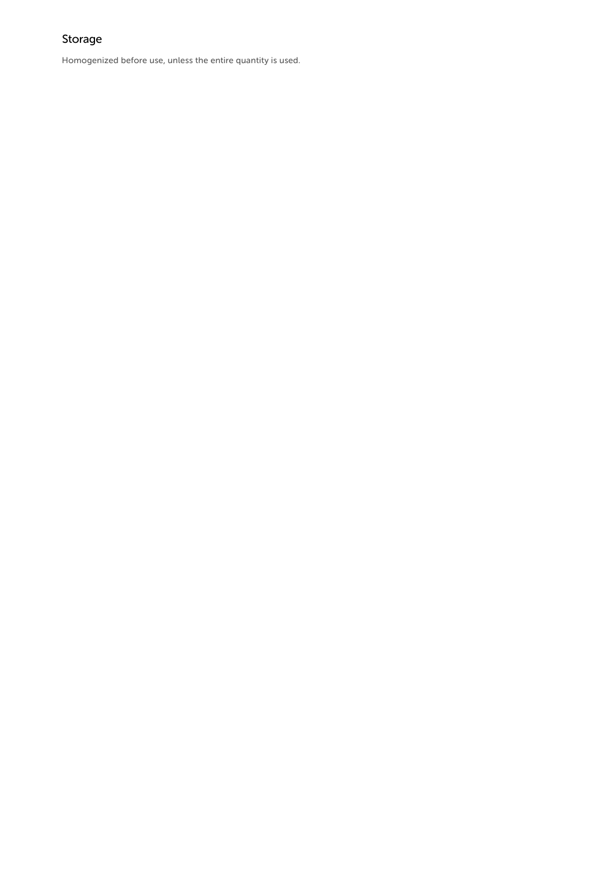# Storage

Homogenized before use, unless the entire quantity is used.